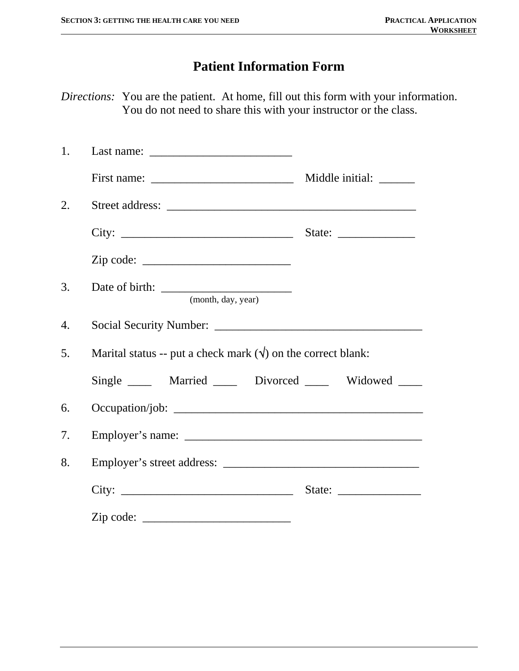## **Patient Information Form**

*Directions:* You are the patient. At home, fill out this form with your information. You do not need to share this with your instructor or the class.

| 1. |                                                                      |                             |
|----|----------------------------------------------------------------------|-----------------------------|
|    |                                                                      |                             |
| 2. |                                                                      |                             |
|    |                                                                      | State: $\frac{2}{\sqrt{2}}$ |
|    |                                                                      |                             |
| 3. | (month, day, year)                                                   |                             |
| 4. |                                                                      |                             |
| 5. | Marital status -- put a check mark $(\forall)$ on the correct blank: |                             |
|    | Single _____ Married _____ Divorced _____ Widowed ____               |                             |
| 6. |                                                                      |                             |
| 7. |                                                                      |                             |
| 8. |                                                                      |                             |
|    |                                                                      |                             |
|    | $\mathsf{Zip code: }$                                                |                             |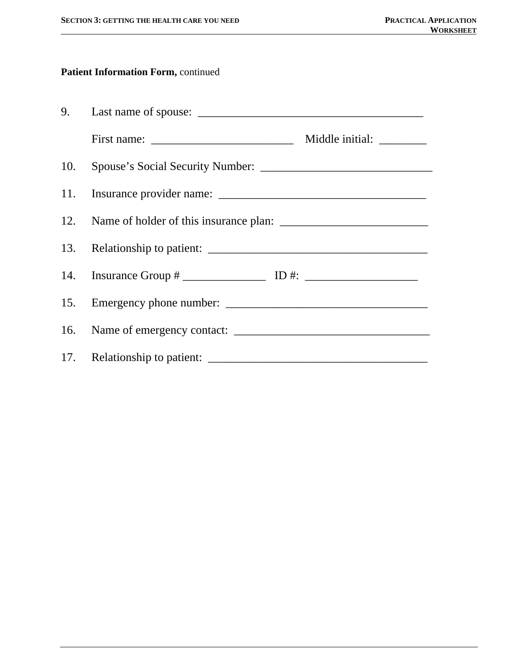### **Patient Information Form,** continued

| First name: $\frac{1}{2}$ | Middle initial: ________ |
|---------------------------|--------------------------|
|                           |                          |
|                           |                          |
|                           |                          |
|                           |                          |
|                           |                          |
|                           |                          |
|                           |                          |
|                           |                          |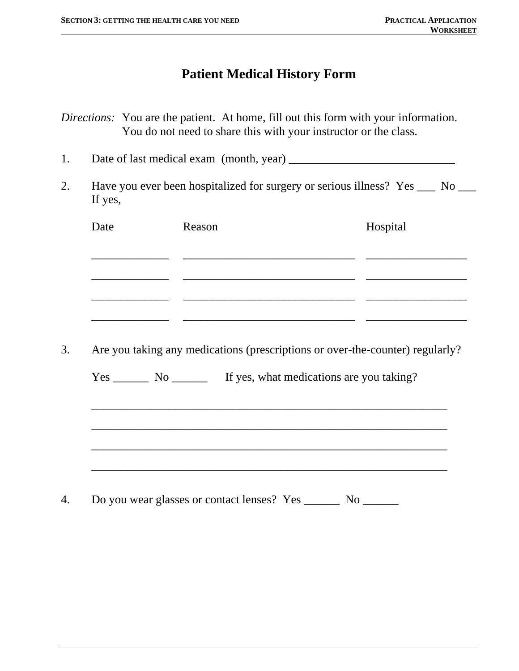## **Patient Medical History Form**

*Directions:* You are the patient. At home, fill out this form with your information. You do not need to share this with your instructor or the class.

1. Date of last medical exam (month, year) \_\_\_\_\_\_\_\_\_\_\_\_\_\_\_\_\_\_\_\_\_\_\_\_\_\_\_\_

2. Have you ever been hospitalized for surgery or serious illness? Yes \_\_\_ No \_\_ If yes,

| Date | Reason | Hospital |
|------|--------|----------|
|      |        |          |
|      |        |          |
|      |        |          |
|      |        |          |

3. Are you taking any medications (prescriptions or over-the-counter) regularly?

\_\_\_\_\_\_\_\_\_\_\_\_\_\_\_\_\_\_\_\_\_\_\_\_\_\_\_\_\_\_\_\_\_\_\_\_\_\_\_\_\_\_\_\_\_\_\_\_\_\_\_\_\_\_\_\_\_\_\_\_

Yes \_\_\_\_\_\_\_ No \_\_\_\_\_\_\_ If yes, what medications are you taking?

 $\overline{\phantom{a}}$  ,  $\overline{\phantom{a}}$  ,  $\overline{\phantom{a}}$  ,  $\overline{\phantom{a}}$  ,  $\overline{\phantom{a}}$  ,  $\overline{\phantom{a}}$  ,  $\overline{\phantom{a}}$  ,  $\overline{\phantom{a}}$  ,  $\overline{\phantom{a}}$  ,  $\overline{\phantom{a}}$  ,  $\overline{\phantom{a}}$  ,  $\overline{\phantom{a}}$  ,  $\overline{\phantom{a}}$  ,  $\overline{\phantom{a}}$  ,  $\overline{\phantom{a}}$  ,  $\overline{\phantom{a}}$ 

 $\overline{\phantom{a}}$  ,  $\overline{\phantom{a}}$  ,  $\overline{\phantom{a}}$  ,  $\overline{\phantom{a}}$  ,  $\overline{\phantom{a}}$  ,  $\overline{\phantom{a}}$  ,  $\overline{\phantom{a}}$  ,  $\overline{\phantom{a}}$  ,  $\overline{\phantom{a}}$  ,  $\overline{\phantom{a}}$  ,  $\overline{\phantom{a}}$  ,  $\overline{\phantom{a}}$  ,  $\overline{\phantom{a}}$  ,  $\overline{\phantom{a}}$  ,  $\overline{\phantom{a}}$  ,  $\overline{\phantom{a}}$ 

 $\overline{\phantom{a}}$  ,  $\overline{\phantom{a}}$  ,  $\overline{\phantom{a}}$  ,  $\overline{\phantom{a}}$  ,  $\overline{\phantom{a}}$  ,  $\overline{\phantom{a}}$  ,  $\overline{\phantom{a}}$  ,  $\overline{\phantom{a}}$  ,  $\overline{\phantom{a}}$  ,  $\overline{\phantom{a}}$  ,  $\overline{\phantom{a}}$  ,  $\overline{\phantom{a}}$  ,  $\overline{\phantom{a}}$  ,  $\overline{\phantom{a}}$  ,  $\overline{\phantom{a}}$  ,  $\overline{\phantom{a}}$ 

4. Do you wear glasses or contact lenses? Yes No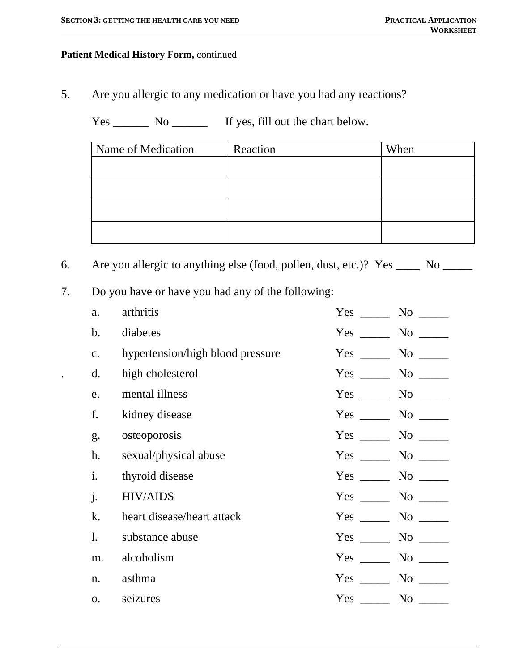#### **Patient Medical History Form,** continued

5. Are you allergic to any medication or have you had any reactions?

Yes \_\_\_\_\_\_\_\_ No \_\_\_\_\_\_\_\_ If yes, fill out the chart below.

| Name of Medication | Reaction | When |
|--------------------|----------|------|
|                    |          |      |
|                    |          |      |
|                    |          |      |
|                    |          |      |

6. Are you allergic to anything else (food, pollen, dust, etc.)? Yes \_\_\_\_ No \_\_\_\_

7. Do you have or have you had any of the following:

| a.             | arthritis                        | Yes        | $No$ <sub>_____</sub>                                                                                                                                                                                                         |
|----------------|----------------------------------|------------|-------------------------------------------------------------------------------------------------------------------------------------------------------------------------------------------------------------------------------|
| $\mathbf b$ .  | diabetes                         | Yes        |                                                                                                                                                                                                                               |
| $C_{\bullet}$  | hypertension/high blood pressure |            |                                                                                                                                                                                                                               |
| d.             | high cholesterol                 |            |                                                                                                                                                                                                                               |
| e.             | mental illness                   |            | $No \_$                                                                                                                                                                                                                       |
| f.             | kidney disease                   | $Yes \_\_$ |                                                                                                                                                                                                                               |
| g.             | osteoporosis                     | $Yes \_\_$ | $No \_$                                                                                                                                                                                                                       |
| h.             | sexual/physical abuse            | $Yes \_\_$ |                                                                                                                                                                                                                               |
| i.             | thyroid disease                  | $Yes \_\_$ |                                                                                                                                                                                                                               |
| $\mathbf{j}$ . | <b>HIV/AIDS</b>                  | $Yes \_\_$ |                                                                                                                                                                                                                               |
| k.             | heart disease/heart attack       |            |                                                                                                                                                                                                                               |
| 1.             | substance abuse                  | $Yes \_\_$ | $No \_$                                                                                                                                                                                                                       |
| m.             | alcoholism                       |            |                                                                                                                                                                                                                               |
| n.             | asthma                           | $Yes \_\_$ |                                                                                                                                                                                                                               |
| <b>O.</b>      | seizures                         | Yes        | No note that the set of the set of the set of the set of the set of the set of the set of the set of the set of the set of the set of the set of the set of the set of the set of the set of the set of the set of the set of |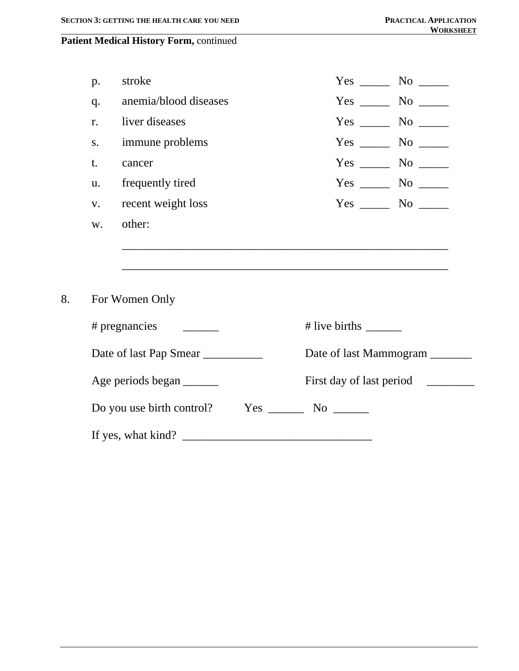#### **Patient Medical History Form,** continued

| p. | stroke                           |                                                                                                                                                                                                                                                                                                                                                                                                                       | $Yes$ No $\_\_$                       |
|----|----------------------------------|-----------------------------------------------------------------------------------------------------------------------------------------------------------------------------------------------------------------------------------------------------------------------------------------------------------------------------------------------------------------------------------------------------------------------|---------------------------------------|
| q. | anemia/blood diseases            |                                                                                                                                                                                                                                                                                                                                                                                                                       | $Yes \_\_\_\_\_\\$ No $\_\_\_\_\_\_\$ |
| r. | liver diseases                   |                                                                                                                                                                                                                                                                                                                                                                                                                       | $Yes \_\_\_\_ No \_\_\_\_$            |
| S. | immune problems                  |                                                                                                                                                                                                                                                                                                                                                                                                                       | $Yes \_\_\_\_\_\\$ No $\_\_\_\_\_\$   |
| t. | cancer                           |                                                                                                                                                                                                                                                                                                                                                                                                                       | $Yes$ No $\_\_$                       |
| u. | frequently tired                 |                                                                                                                                                                                                                                                                                                                                                                                                                       | $Yes \_\_\_\_ No \_\_\_\_$            |
| V. | recent weight loss               |                                                                                                                                                                                                                                                                                                                                                                                                                       | $Yes$ No $\_\_$                       |
| W. | other:                           |                                                                                                                                                                                                                                                                                                                                                                                                                       |                                       |
|    |                                  |                                                                                                                                                                                                                                                                                                                                                                                                                       |                                       |
|    | For Women Only                   |                                                                                                                                                                                                                                                                                                                                                                                                                       |                                       |
|    | # pregnancies                    | # live births $\frac{1}{\sqrt{1-\frac{1}{\sqrt{1-\frac{1}{\sqrt{1-\frac{1}{\sqrt{1-\frac{1}{\sqrt{1-\frac{1}{\sqrt{1-\frac{1}{\sqrt{1-\frac{1}{\sqrt{1-\frac{1}{\sqrt{1-\frac{1}{\sqrt{1-\frac{1}{\sqrt{1-\frac{1}{\sqrt{1-\frac{1}{\sqrt{1-\frac{1}{\sqrt{1-\frac{1}{\sqrt{1-\frac{1}{\sqrt{1-\frac{1}{\sqrt{1-\frac{1}{\sqrt{1-\frac{1}{\sqrt{1-\frac{1}{\sqrt{1-\frac{1}{\sqrt{1-\frac{1}{\sqrt{1-\frac{1}{\sqrt{$ |                                       |
|    | Date of last Pap Smear           |                                                                                                                                                                                                                                                                                                                                                                                                                       | Date of last Mammogram _______        |
|    | Age periods began                |                                                                                                                                                                                                                                                                                                                                                                                                                       | First day of last period __________   |
|    | Do you use birth control?<br>Yes |                                                                                                                                                                                                                                                                                                                                                                                                                       |                                       |

If yes, what kind? \_\_\_\_\_\_\_\_\_\_\_\_\_\_\_\_\_\_\_\_\_\_\_\_\_\_\_\_\_\_\_\_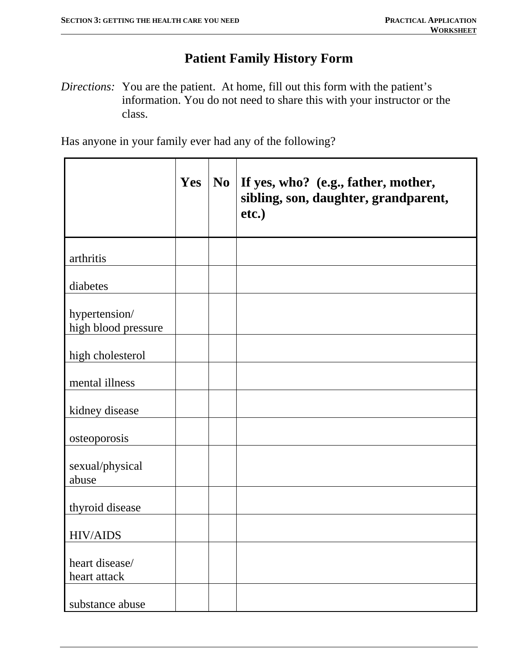# **Patient Family History Form**

*Directions:* You are the patient. At home, fill out this form with the patient's information. You do not need to share this with your instructor or the class.

Has anyone in your family ever had any of the following?

|                                      | Yes | N <sub>0</sub> | If yes, who? (e.g., father, mother,<br>sibling, son, daughter, grandparent,<br>etc.) |
|--------------------------------------|-----|----------------|--------------------------------------------------------------------------------------|
| arthritis                            |     |                |                                                                                      |
| diabetes                             |     |                |                                                                                      |
| hypertension/<br>high blood pressure |     |                |                                                                                      |
| high cholesterol                     |     |                |                                                                                      |
| mental illness                       |     |                |                                                                                      |
| kidney disease                       |     |                |                                                                                      |
| osteoporosis                         |     |                |                                                                                      |
| sexual/physical<br>abuse             |     |                |                                                                                      |
| thyroid disease                      |     |                |                                                                                      |
| <b>HIV/AIDS</b>                      |     |                |                                                                                      |
| heart disease/<br>heart attack       |     |                |                                                                                      |
| substance abuse                      |     |                |                                                                                      |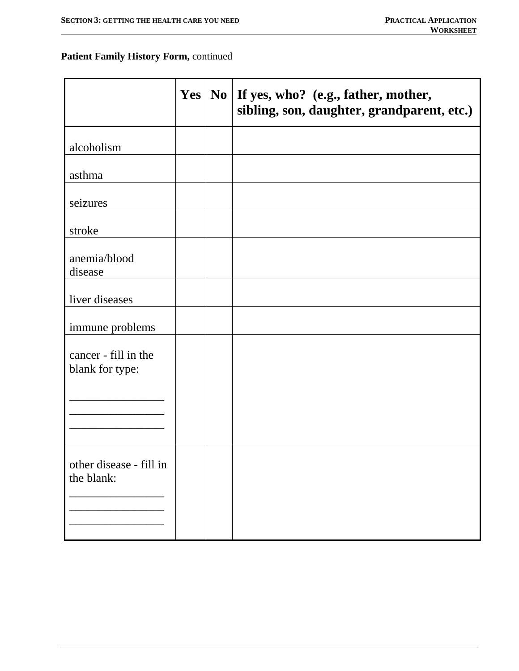#### **Patient Family History Form,** continued

|                                         |  | Yes   No   If yes, who? (e.g., father, mother,<br>sibling, son, daughter, grandparent, etc.) |
|-----------------------------------------|--|----------------------------------------------------------------------------------------------|
| alcoholism                              |  |                                                                                              |
| asthma                                  |  |                                                                                              |
| seizures                                |  |                                                                                              |
| stroke                                  |  |                                                                                              |
| anemia/blood<br>disease                 |  |                                                                                              |
| liver diseases                          |  |                                                                                              |
| immune problems                         |  |                                                                                              |
| cancer - fill in the<br>blank for type: |  |                                                                                              |
|                                         |  |                                                                                              |
| other disease - fill in<br>the blank:   |  |                                                                                              |
|                                         |  |                                                                                              |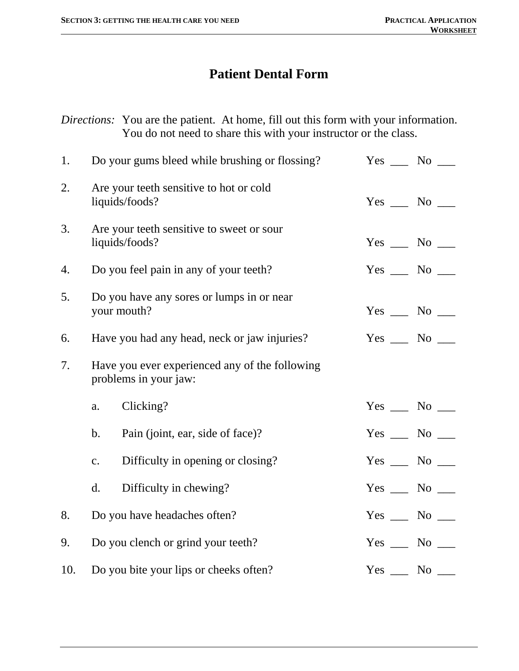## **Patient Dental Form**

*Directions:* You are the patient. At home, fill out this form with your information. You do not need to share this with your instructor or the class.

| 1.  |               | Do your gums bleed while brushing or flossing?                          | $Yes \_\_ No \_\_$ |
|-----|---------------|-------------------------------------------------------------------------|--------------------|
| 2.  |               | Are your teeth sensitive to hot or cold<br>liquids/foods?               | $Yes \_\_ No \_\_$ |
| 3.  |               | Are your teeth sensitive to sweet or sour<br>liquids/foods?             | $Yes$ No $\Box$    |
| 4.  |               | Do you feel pain in any of your teeth?                                  | $Yes \_\_ No \_\_$ |
| 5.  |               | Do you have any sores or lumps in or near<br>your mouth?                | $Yes \_\_ No \_\_$ |
| 6.  |               | Have you had any head, neck or jaw injuries?                            | $Yes \_\_ No \_\_$ |
| 7.  |               | Have you ever experienced any of the following<br>problems in your jaw: |                    |
|     | a.            | Clicking?                                                               | $Yes \_\_ No \_\_$ |
|     | $\mathbf b$ . | Pain (joint, ear, side of face)?                                        | $Yes \_\_ No \_\_$ |
|     | c.            | Difficulty in opening or closing?                                       | $Yes \_\_ No \_\_$ |
|     | d.            | Difficulty in chewing?                                                  | $Yes \_\_ No \_\_$ |
| 8.  |               | Do you have headaches often?                                            | $Yes \_\_ No \_\_$ |
| 9.  |               | Do you clench or grind your teeth?                                      | $Yes \_\_ No \_\_$ |
| 10. |               | Do you bite your lips or cheeks often?                                  | $Yes \_\_ No \_\_$ |